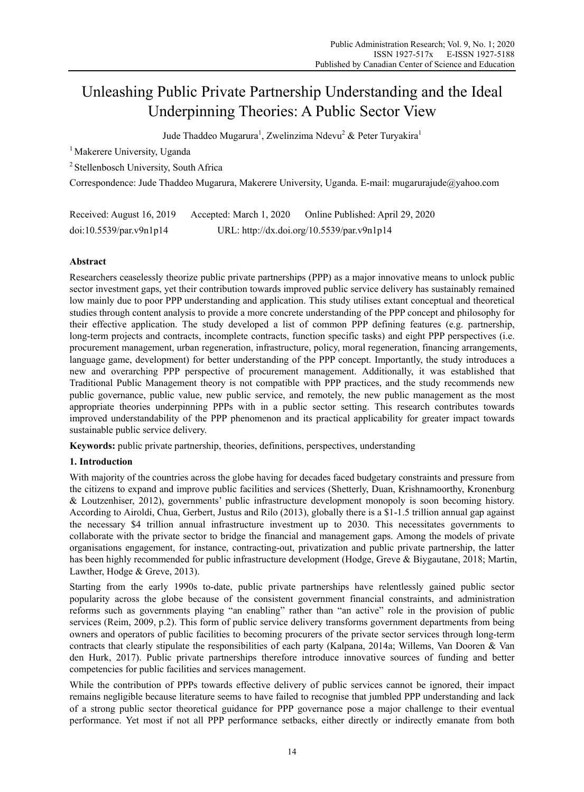# Unleashing Public Private Partnership Understanding and the Ideal Underpinning Theories: A Public Sector View

Jude Thaddeo Mugarura<sup>1</sup>, Zwelinzima Ndevu<sup>2</sup> & Peter Turyakira<sup>1</sup>

<sup>1</sup> Makerere University, Uganda

2 Stellenbosch University, South Africa

Correspondence: Jude Thaddeo Mugarura, Makerere University, Uganda. E-mail: mugarurajude@yahoo.com

| Received: August 16, 2019 | Accepted: March 1, 2020                    | Online Published: April 29, 2020 |
|---------------------------|--------------------------------------------|----------------------------------|
| doi:10.5539/par.v9n1p14   | URL: http://dx.doi.org/10.5539/par.v9n1p14 |                                  |

# **Abstract**

Researchers ceaselessly theorize public private partnerships (PPP) as a major innovative means to unlock public sector investment gaps, yet their contribution towards improved public service delivery has sustainably remained low mainly due to poor PPP understanding and application. This study utilises extant conceptual and theoretical studies through content analysis to provide a more concrete understanding of the PPP concept and philosophy for their effective application. The study developed a list of common PPP defining features (e.g. partnership, long-term projects and contracts, incomplete contracts, function specific tasks) and eight PPP perspectives (i.e. procurement management, urban regeneration, infrastructure, policy, moral regeneration, financing arrangements, language game, development) for better understanding of the PPP concept. Importantly, the study introduces a new and overarching PPP perspective of procurement management. Additionally, it was established that Traditional Public Management theory is not compatible with PPP practices, and the study recommends new public governance, public value, new public service, and remotely, the new public management as the most appropriate theories underpinning PPPs with in a public sector setting. This research contributes towards improved understandability of the PPP phenomenon and its practical applicability for greater impact towards sustainable public service delivery.

**Keywords:** public private partnership, theories, definitions, perspectives, understanding

# **1. Introduction**

With majority of the countries across the globe having for decades faced budgetary constraints and pressure from the citizens to expand and improve public facilities and services (Shetterly, Duan, Krishnamoorthy, Kronenburg & Loutzenhiser, 2012), governments' public infrastructure development monopoly is soon becoming history. According to Airoldi, Chua, Gerbert, Justus and Rilo (2013), globally there is a \$1-1.5 trillion annual gap against the necessary \$4 trillion annual infrastructure investment up to 2030. This necessitates governments to collaborate with the private sector to bridge the financial and management gaps. Among the models of private organisations engagement, for instance, contracting-out, privatization and public private partnership, the latter has been highly recommended for public infrastructure development (Hodge, Greve & Biygautane, 2018; Martin, Lawther, Hodge & Greve, 2013).

Starting from the early 1990s to-date, public private partnerships have relentlessly gained public sector popularity across the globe because of the consistent government financial constraints, and administration reforms such as governments playing "an enabling" rather than "an active" role in the provision of public services (Reim, 2009, p.2). This form of public service delivery transforms government departments from being owners and operators of public facilities to becoming procurers of the private sector services through long-term contracts that clearly stipulate the responsibilities of each party (Kalpana, 2014a; Willems, Van Dooren & Van den Hurk, 2017). Public private partnerships therefore introduce innovative sources of funding and better competencies for public facilities and services management.

While the contribution of PPPs towards effective delivery of public services cannot be ignored, their impact remains negligible because literature seems to have failed to recognise that jumbled PPP understanding and lack of a strong public sector theoretical guidance for PPP governance pose a major challenge to their eventual performance. Yet most if not all PPP performance setbacks, either directly or indirectly emanate from both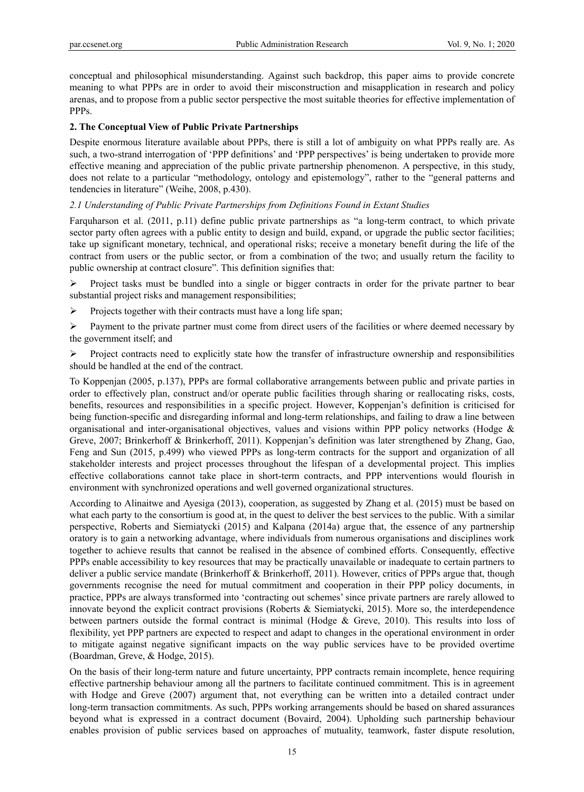conceptual and philosophical misunderstanding. Against such backdrop, this paper aims to provide concrete meaning to what PPPs are in order to avoid their misconstruction and misapplication in research and policy arenas, and to propose from a public sector perspective the most suitable theories for effective implementation of PPPs.

## **2. The Conceptual View of Public Private Partnerships**

Despite enormous literature available about PPPs, there is still a lot of ambiguity on what PPPs really are. As such, a two-strand interrogation of 'PPP definitions' and 'PPP perspectives' is being undertaken to provide more effective meaning and appreciation of the public private partnership phenomenon. A perspective, in this study, does not relate to a particular "methodology, ontology and epistemology", rather to the "general patterns and tendencies in literature" (Weihe, 2008, p.430).

# *2.1 Understanding of Public Private Partnerships from Definitions Found in Extant Studies*

Farquharson et al. (2011, p.11) define public private partnerships as "a long-term contract, to which private sector party often agrees with a public entity to design and build, expand, or upgrade the public sector facilities; take up significant monetary, technical, and operational risks; receive a monetary benefit during the life of the contract from users or the public sector, or from a combination of the two; and usually return the facility to public ownership at contract closure". This definition signifies that:

 $\triangleright$  Project tasks must be bundled into a single or bigger contracts in order for the private partner to bear substantial project risks and management responsibilities;

 $\triangleright$  Projects together with their contracts must have a long life span;

 $\triangleright$  Payment to the private partner must come from direct users of the facilities or where deemed necessary by the government itself; and

 $\triangleright$  Project contracts need to explicitly state how the transfer of infrastructure ownership and responsibilities should be handled at the end of the contract.

To Koppenjan (2005, p.137), PPPs are formal collaborative arrangements between public and private parties in order to effectively plan, construct and/or operate public facilities through sharing or reallocating risks, costs, benefits, resources and responsibilities in a specific project. However, Koppenjan's definition is criticised for being function-specific and disregarding informal and long-term relationships, and failing to draw a line between organisational and inter-organisational objectives, values and visions within PPP policy networks (Hodge & Greve, 2007; Brinkerhoff & Brinkerhoff, 2011). Koppenjan's definition was later strengthened by Zhang, Gao, Feng and Sun (2015, p.499) who viewed PPPs as long-term contracts for the support and organization of all stakeholder interests and project processes throughout the lifespan of a developmental project. This implies effective collaborations cannot take place in short-term contracts, and PPP interventions would flourish in environment with synchronized operations and well governed organizational structures.

According to Alinaitwe and Ayesiga (2013), cooperation, as suggested by Zhang et al. (2015) must be based on what each party to the consortium is good at, in the quest to deliver the best services to the public. With a similar perspective, Roberts and Siemiatycki (2015) and Kalpana (2014a) argue that, the essence of any partnership oratory is to gain a networking advantage, where individuals from numerous organisations and disciplines work together to achieve results that cannot be realised in the absence of combined efforts. Consequently, effective PPPs enable accessibility to key resources that may be practically unavailable or inadequate to certain partners to deliver a public service mandate (Brinkerhoff & Brinkerhoff, 2011). However, critics of PPPs argue that, though governments recognise the need for mutual commitment and cooperation in their PPP policy documents, in practice, PPPs are always transformed into 'contracting out schemes' since private partners are rarely allowed to innovate beyond the explicit contract provisions (Roberts & Siemiatycki, 2015). More so, the interdependence between partners outside the formal contract is minimal (Hodge & Greve, 2010). This results into loss of flexibility, yet PPP partners are expected to respect and adapt to changes in the operational environment in order to mitigate against negative significant impacts on the way public services have to be provided overtime (Boardman, Greve, & Hodge, 2015).

On the basis of their long-term nature and future uncertainty, PPP contracts remain incomplete, hence requiring effective partnership behaviour among all the partners to facilitate continued commitment. This is in agreement with Hodge and Greve (2007) argument that, not everything can be written into a detailed contract under long-term transaction commitments. As such, PPPs working arrangements should be based on shared assurances beyond what is expressed in a contract document (Bovaird, 2004). Upholding such partnership behaviour enables provision of public services based on approaches of mutuality, teamwork, faster dispute resolution,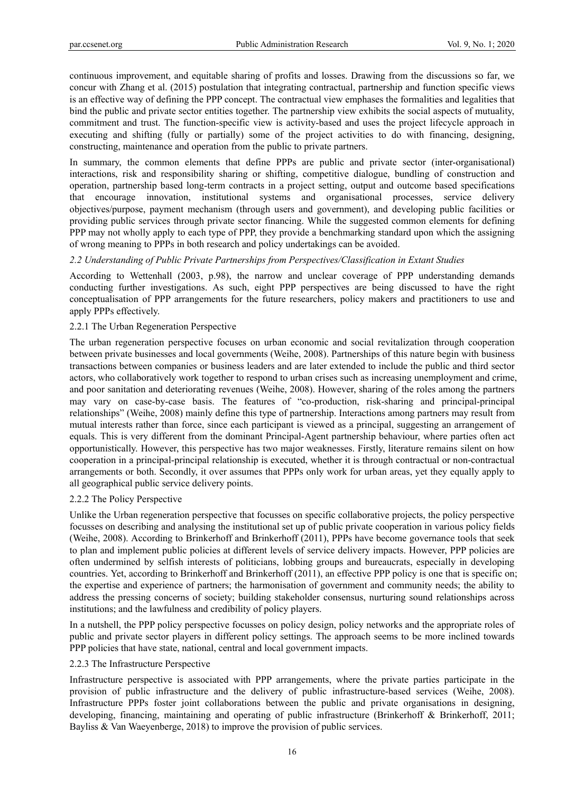continuous improvement, and equitable sharing of profits and losses. Drawing from the discussions so far, we concur with Zhang et al. (2015) postulation that integrating contractual, partnership and function specific views is an effective way of defining the PPP concept. The contractual view emphases the formalities and legalities that bind the public and private sector entities together. The partnership view exhibits the social aspects of mutuality, commitment and trust. The function-specific view is activity-based and uses the project lifecycle approach in executing and shifting (fully or partially) some of the project activities to do with financing, designing, constructing, maintenance and operation from the public to private partners.

In summary, the common elements that define PPPs are public and private sector (inter-organisational) interactions, risk and responsibility sharing or shifting, competitive dialogue, bundling of construction and operation, partnership based long-term contracts in a project setting, output and outcome based specifications that encourage innovation, institutional systems and organisational processes, service delivery objectives/purpose, payment mechanism (through users and government), and developing public facilities or providing public services through private sector financing. While the suggested common elements for defining PPP may not wholly apply to each type of PPP, they provide a benchmarking standard upon which the assigning of wrong meaning to PPPs in both research and policy undertakings can be avoided.

### *2.2 Understanding of Public Private Partnerships from Perspectives/Classification in Extant Studies*

According to Wettenhall (2003, p.98), the narrow and unclear coverage of PPP understanding demands conducting further investigations. As such, eight PPP perspectives are being discussed to have the right conceptualisation of PPP arrangements for the future researchers, policy makers and practitioners to use and apply PPPs effectively.

### 2.2.1 The Urban Regeneration Perspective

The urban regeneration perspective focuses on urban economic and social revitalization through cooperation between private businesses and local governments (Weihe, 2008). Partnerships of this nature begin with business transactions between companies or business leaders and are later extended to include the public and third sector actors, who collaboratively work together to respond to urban crises such as increasing unemployment and crime, and poor sanitation and deteriorating revenues (Weihe, 2008). However, sharing of the roles among the partners may vary on case-by-case basis. The features of "co-production, risk-sharing and principal-principal relationships" (Weihe, 2008) mainly define this type of partnership. Interactions among partners may result from mutual interests rather than force, since each participant is viewed as a principal, suggesting an arrangement of equals. This is very different from the dominant Principal-Agent partnership behaviour, where parties often act opportunistically. However, this perspective has two major weaknesses. Firstly, literature remains silent on how cooperation in a principal-principal relationship is executed, whether it is through contractual or non-contractual arrangements or both. Secondly, it over assumes that PPPs only work for urban areas, yet they equally apply to all geographical public service delivery points.

### 2.2.2 The Policy Perspective

Unlike the Urban regeneration perspective that focusses on specific collaborative projects, the policy perspective focusses on describing and analysing the institutional set up of public private cooperation in various policy fields (Weihe, 2008). According to Brinkerhoff and Brinkerhoff (2011), PPPs have become governance tools that seek to plan and implement public policies at different levels of service delivery impacts. However, PPP policies are often undermined by selfish interests of politicians, lobbing groups and bureaucrats, especially in developing countries. Yet, according to Brinkerhoff and Brinkerhoff (2011), an effective PPP policy is one that is specific on; the expertise and experience of partners; the harmonisation of government and community needs; the ability to address the pressing concerns of society; building stakeholder consensus, nurturing sound relationships across institutions; and the lawfulness and credibility of policy players.

In a nutshell, the PPP policy perspective focusses on policy design, policy networks and the appropriate roles of public and private sector players in different policy settings. The approach seems to be more inclined towards PPP policies that have state, national, central and local government impacts.

### 2.2.3 The Infrastructure Perspective

Infrastructure perspective is associated with PPP arrangements, where the private parties participate in the provision of public infrastructure and the delivery of public infrastructure-based services (Weihe, 2008). Infrastructure PPPs foster joint collaborations between the public and private organisations in designing, developing, financing, maintaining and operating of public infrastructure (Brinkerhoff & Brinkerhoff, 2011; Bayliss & Van Waeyenberge, 2018) to improve the provision of public services.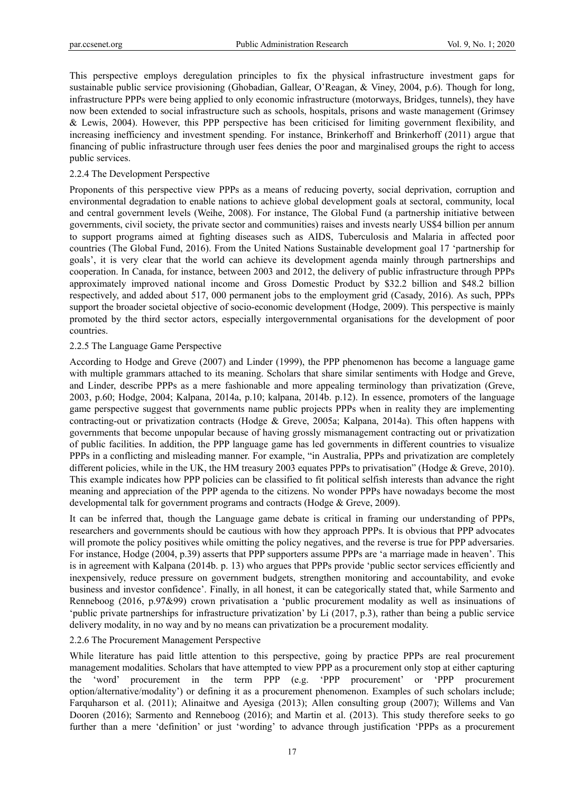This perspective employs deregulation principles to fix the physical infrastructure investment gaps for sustainable public service provisioning (Ghobadian, Gallear, O'Reagan, & Viney, 2004, p.6). Though for long, infrastructure PPPs were being applied to only economic infrastructure (motorways, Bridges, tunnels), they have now been extended to social infrastructure such as schools, hospitals, prisons and waste management (Grimsey & Lewis, 2004). However, this PPP perspective has been criticised for limiting government flexibility, and increasing inefficiency and investment spending. For instance, Brinkerhoff and Brinkerhoff (2011) argue that financing of public infrastructure through user fees denies the poor and marginalised groups the right to access public services.

#### 2.2.4 The Development Perspective

Proponents of this perspective view PPPs as a means of reducing poverty, social deprivation, corruption and environmental degradation to enable nations to achieve global development goals at sectoral, community, local and central government levels (Weihe, 2008). For instance, The Global Fund (a partnership initiative between governments, civil society, the private sector and communities) raises and invests nearly US\$4 billion per annum to support programs aimed at fighting diseases such as AIDS, Tuberculosis and Malaria in affected poor countries (The Global Fund, 2016). From the United Nations Sustainable development goal 17 'partnership for goals', it is very clear that the world can achieve its development agenda mainly through partnerships and cooperation. In Canada, for instance, between 2003 and 2012, the delivery of public infrastructure through PPPs approximately improved national income and Gross Domestic Product by \$32.2 billion and \$48.2 billion respectively, and added about 517, 000 permanent jobs to the employment grid (Casady, 2016). As such, PPPs support the broader societal objective of socio-economic development (Hodge, 2009). This perspective is mainly promoted by the third sector actors, especially intergovernmental organisations for the development of poor countries.

#### 2.2.5 The Language Game Perspective

According to Hodge and Greve (2007) and Linder (1999), the PPP phenomenon has become a language game with multiple grammars attached to its meaning. Scholars that share similar sentiments with Hodge and Greve, and Linder, describe PPPs as a mere fashionable and more appealing terminology than privatization (Greve, 2003, p.60; Hodge, 2004; Kalpana, 2014a, p.10; kalpana, 2014b. p.12). In essence, promoters of the language game perspective suggest that governments name public projects PPPs when in reality they are implementing contracting-out or privatization contracts (Hodge & Greve, 2005a; Kalpana, 2014a). This often happens with governments that become unpopular because of having grossly mismanagement contracting out or privatization of public facilities. In addition, the PPP language game has led governments in different countries to visualize PPPs in a conflicting and misleading manner. For example, "in Australia, PPPs and privatization are completely different policies, while in the UK, the HM treasury 2003 equates PPPs to privatisation" (Hodge & Greve, 2010). This example indicates how PPP policies can be classified to fit political selfish interests than advance the right meaning and appreciation of the PPP agenda to the citizens. No wonder PPPs have nowadays become the most developmental talk for government programs and contracts (Hodge & Greve, 2009).

It can be inferred that, though the Language game debate is critical in framing our understanding of PPPs, researchers and governments should be cautious with how they approach PPPs. It is obvious that PPP advocates will promote the policy positives while omitting the policy negatives, and the reverse is true for PPP adversaries. For instance, Hodge (2004, p.39) asserts that PPP supporters assume PPPs are 'a marriage made in heaven'. This is in agreement with Kalpana (2014b. p. 13) who argues that PPPs provide 'public sector services efficiently and inexpensively, reduce pressure on government budgets, strengthen monitoring and accountability, and evoke business and investor confidence'. Finally, in all honest, it can be categorically stated that, while Sarmento and Renneboog (2016, p.97&99) crown privatisation a 'public procurement modality as well as insinuations of 'public private partnerships for infrastructure privatization' by Li (2017, p.3), rather than being a public service delivery modality, in no way and by no means can privatization be a procurement modality.

### 2.2.6 The Procurement Management Perspective

While literature has paid little attention to this perspective, going by practice PPPs are real procurement management modalities. Scholars that have attempted to view PPP as a procurement only stop at either capturing the 'word' procurement in the term PPP (e.g. 'PPP procurement' or 'PPP procurement option/alternative/modality') or defining it as a procurement phenomenon. Examples of such scholars include; Farquharson et al. (2011); Alinaitwe and Ayesiga (2013); Allen consulting group (2007); Willems and Van Dooren (2016); Sarmento and Renneboog (2016); and Martin et al. (2013). This study therefore seeks to go further than a mere 'definition' or just 'wording' to advance through justification 'PPPs as a procurement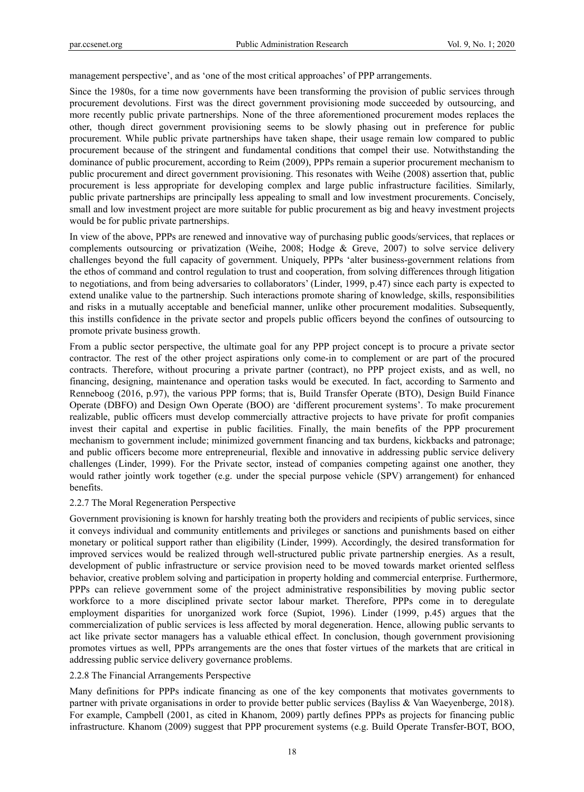management perspective', and as 'one of the most critical approaches' of PPP arrangements.

Since the 1980s, for a time now governments have been transforming the provision of public services through procurement devolutions. First was the direct government provisioning mode succeeded by outsourcing, and more recently public private partnerships. None of the three aforementioned procurement modes replaces the other, though direct government provisioning seems to be slowly phasing out in preference for public procurement. While public private partnerships have taken shape, their usage remain low compared to public procurement because of the stringent and fundamental conditions that compel their use. Notwithstanding the dominance of public procurement, according to Reim (2009), PPPs remain a superior procurement mechanism to public procurement and direct government provisioning. This resonates with Weihe (2008) assertion that, public procurement is less appropriate for developing complex and large public infrastructure facilities. Similarly, public private partnerships are principally less appealing to small and low investment procurements. Concisely, small and low investment project are more suitable for public procurement as big and heavy investment projects would be for public private partnerships.

In view of the above, PPPs are renewed and innovative way of purchasing public goods/services, that replaces or complements outsourcing or privatization (Weihe, 2008; Hodge & Greve, 2007) to solve service delivery challenges beyond the full capacity of government. Uniquely, PPPs 'alter business-government relations from the ethos of command and control regulation to trust and cooperation, from solving differences through litigation to negotiations, and from being adversaries to collaborators' (Linder, 1999, p.47) since each party is expected to extend unalike value to the partnership. Such interactions promote sharing of knowledge, skills, responsibilities and risks in a mutually acceptable and beneficial manner, unlike other procurement modalities. Subsequently, this instills confidence in the private sector and propels public officers beyond the confines of outsourcing to promote private business growth.

From a public sector perspective, the ultimate goal for any PPP project concept is to procure a private sector contractor. The rest of the other project aspirations only come-in to complement or are part of the procured contracts. Therefore, without procuring a private partner (contract), no PPP project exists, and as well, no financing, designing, maintenance and operation tasks would be executed. In fact, according to Sarmento and Renneboog (2016, p.97), the various PPP forms; that is, Build Transfer Operate (BTO), Design Build Finance Operate (DBFO) and Design Own Operate (BOO) are 'different procurement systems'. To make procurement realizable, public officers must develop commercially attractive projects to have private for profit companies invest their capital and expertise in public facilities. Finally, the main benefits of the PPP procurement mechanism to government include; minimized government financing and tax burdens, kickbacks and patronage; and public officers become more entrepreneurial, flexible and innovative in addressing public service delivery challenges (Linder, 1999). For the Private sector, instead of companies competing against one another, they would rather jointly work together (e.g. under the special purpose vehicle (SPV) arrangement) for enhanced benefits.

### 2.2.7 The Moral Regeneration Perspective

Government provisioning is known for harshly treating both the providers and recipients of public services, since it conveys individual and community entitlements and privileges or sanctions and punishments based on either monetary or political support rather than eligibility (Linder, 1999). Accordingly, the desired transformation for improved services would be realized through well-structured public private partnership energies. As a result, development of public infrastructure or service provision need to be moved towards market oriented selfless behavior, creative problem solving and participation in property holding and commercial enterprise. Furthermore, PPPs can relieve government some of the project administrative responsibilities by moving public sector workforce to a more disciplined private sector labour market. Therefore, PPPs come in to deregulate employment disparities for unorganized work force (Supiot, 1996). Linder (1999, p.45) argues that the commercialization of public services is less affected by moral degeneration. Hence, allowing public servants to act like private sector managers has a valuable ethical effect. In conclusion, though government provisioning promotes virtues as well, PPPs arrangements are the ones that foster virtues of the markets that are critical in addressing public service delivery governance problems.

#### 2.2.8 The Financial Arrangements Perspective

Many definitions for PPPs indicate financing as one of the key components that motivates governments to partner with private organisations in order to provide better public services (Bayliss & Van Waeyenberge, 2018). For example, Campbell (2001, as cited in Khanom, 2009) partly defines PPPs as projects for financing public infrastructure. Khanom (2009) suggest that PPP procurement systems (e.g. Build Operate Transfer-BOT, BOO,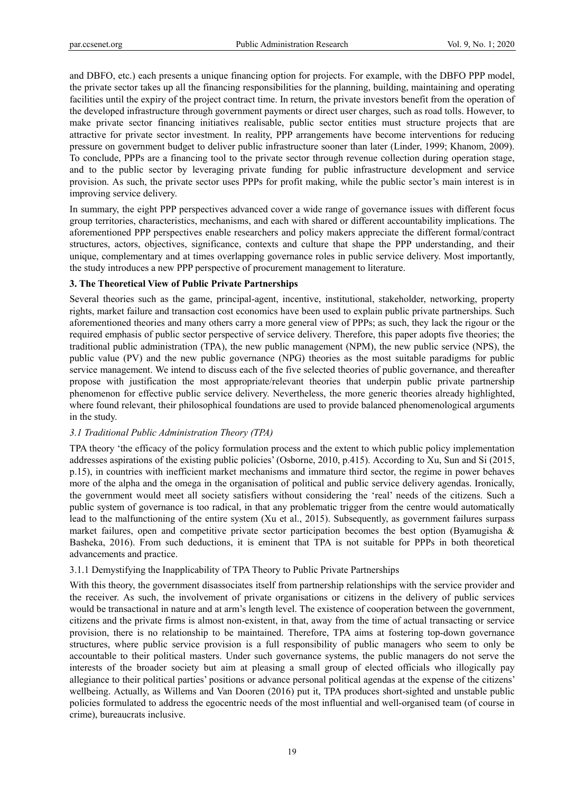and DBFO, etc.) each presents a unique financing option for projects. For example, with the DBFO PPP model, the private sector takes up all the financing responsibilities for the planning, building, maintaining and operating facilities until the expiry of the project contract time. In return, the private investors benefit from the operation of the developed infrastructure through government payments or direct user charges, such as road tolls. However, to make private sector financing initiatives realisable, public sector entities must structure projects that are attractive for private sector investment. In reality, PPP arrangements have become interventions for reducing pressure on government budget to deliver public infrastructure sooner than later (Linder, 1999; Khanom, 2009). To conclude, PPPs are a financing tool to the private sector through revenue collection during operation stage, and to the public sector by leveraging private funding for public infrastructure development and service provision. As such, the private sector uses PPPs for profit making, while the public sector's main interest is in improving service delivery.

In summary, the eight PPP perspectives advanced cover a wide range of governance issues with different focus group territories, characteristics, mechanisms, and each with shared or different accountability implications. The aforementioned PPP perspectives enable researchers and policy makers appreciate the different formal/contract structures, actors, objectives, significance, contexts and culture that shape the PPP understanding, and their unique, complementary and at times overlapping governance roles in public service delivery. Most importantly, the study introduces a new PPP perspective of procurement management to literature.

# **3. The Theoretical View of Public Private Partnerships**

Several theories such as the game, principal-agent, incentive, institutional, stakeholder, networking, property rights, market failure and transaction cost economics have been used to explain public private partnerships. Such aforementioned theories and many others carry a more general view of PPPs; as such, they lack the rigour or the required emphasis of public sector perspective of service delivery. Therefore, this paper adopts five theories; the traditional public administration (TPA), the new public management (NPM), the new public service (NPS), the public value (PV) and the new public governance (NPG) theories as the most suitable paradigms for public service management. We intend to discuss each of the five selected theories of public governance, and thereafter propose with justification the most appropriate/relevant theories that underpin public private partnership phenomenon for effective public service delivery. Nevertheless, the more generic theories already highlighted, where found relevant, their philosophical foundations are used to provide balanced phenomenological arguments in the study.

### *3.1 Traditional Public Administration Theory (TPA)*

TPA theory 'the efficacy of the policy formulation process and the extent to which public policy implementation addresses aspirations of the existing public policies' (Osborne, 2010, p.415). According to Xu, Sun and Si (2015, p.15), in countries with inefficient market mechanisms and immature third sector, the regime in power behaves more of the alpha and the omega in the organisation of political and public service delivery agendas. Ironically, the government would meet all society satisfiers without considering the 'real' needs of the citizens. Such a public system of governance is too radical, in that any problematic trigger from the centre would automatically lead to the malfunctioning of the entire system (Xu et al., 2015). Subsequently, as government failures surpass market failures, open and competitive private sector participation becomes the best option (Byamugisha  $\&$ Basheka, 2016). From such deductions, it is eminent that TPA is not suitable for PPPs in both theoretical advancements and practice.

### 3.1.1 Demystifying the Inapplicability of TPA Theory to Public Private Partnerships

With this theory, the government disassociates itself from partnership relationships with the service provider and the receiver. As such, the involvement of private organisations or citizens in the delivery of public services would be transactional in nature and at arm's length level. The existence of cooperation between the government, citizens and the private firms is almost non-existent, in that, away from the time of actual transacting or service provision, there is no relationship to be maintained. Therefore, TPA aims at fostering top-down governance structures, where public service provision is a full responsibility of public managers who seem to only be accountable to their political masters. Under such governance systems, the public managers do not serve the interests of the broader society but aim at pleasing a small group of elected officials who illogically pay allegiance to their political parties' positions or advance personal political agendas at the expense of the citizens' wellbeing. Actually, as Willems and Van Dooren (2016) put it, TPA produces short-sighted and unstable public policies formulated to address the egocentric needs of the most influential and well-organised team (of course in crime), bureaucrats inclusive.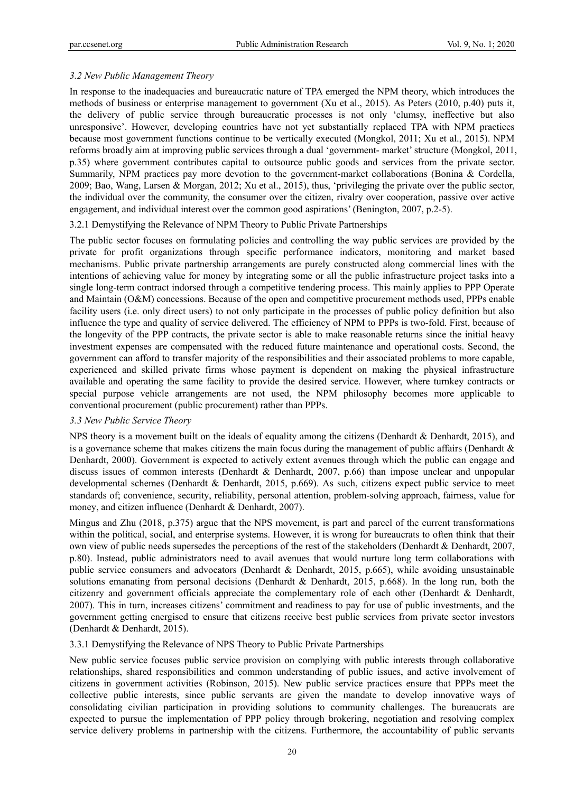### *3.2 New Public Management Theory*

In response to the inadequacies and bureaucratic nature of TPA emerged the NPM theory, which introduces the methods of business or enterprise management to government (Xu et al., 2015). As Peters (2010, p.40) puts it, the delivery of public service through bureaucratic processes is not only 'clumsy, ineffective but also unresponsive'. However, developing countries have not yet substantially replaced TPA with NPM practices because most government functions continue to be vertically executed (Mongkol, 2011; Xu et al., 2015). NPM reforms broadly aim at improving public services through a dual 'government- market' structure (Mongkol, 2011, p.35) where government contributes capital to outsource public goods and services from the private sector. Summarily, NPM practices pay more devotion to the government-market collaborations (Bonina & Cordella, 2009; Bao, Wang, Larsen & Morgan, 2012; Xu et al., 2015), thus, 'privileging the private over the public sector, the individual over the community, the consumer over the citizen, rivalry over cooperation, passive over active engagement, and individual interest over the common good aspirations' (Benington, 2007, p.2-5).

#### 3.2.1 Demystifying the Relevance of NPM Theory to Public Private Partnerships

The public sector focuses on formulating policies and controlling the way public services are provided by the private for profit organizations through specific performance indicators, monitoring and market based mechanisms. Public private partnership arrangements are purely constructed along commercial lines with the intentions of achieving value for money by integrating some or all the public infrastructure project tasks into a single long-term contract indorsed through a competitive tendering process. This mainly applies to PPP Operate and Maintain (O&M) concessions. Because of the open and competitive procurement methods used, PPPs enable facility users (i.e. only direct users) to not only participate in the processes of public policy definition but also influence the type and quality of service delivered. The efficiency of NPM to PPPs is two-fold. First, because of the longevity of the PPP contracts, the private sector is able to make reasonable returns since the initial heavy investment expenses are compensated with the reduced future maintenance and operational costs. Second, the government can afford to transfer majority of the responsibilities and their associated problems to more capable, experienced and skilled private firms whose payment is dependent on making the physical infrastructure available and operating the same facility to provide the desired service. However, where turnkey contracts or special purpose vehicle arrangements are not used, the NPM philosophy becomes more applicable to conventional procurement (public procurement) rather than PPPs.

#### *3.3 New Public Service Theory*

NPS theory is a movement built on the ideals of equality among the citizens (Denhardt & Denhardt, 2015), and is a governance scheme that makes citizens the main focus during the management of public affairs (Denhardt  $\&$ Denhardt, 2000). Government is expected to actively extent avenues through which the public can engage and discuss issues of common interests (Denhardt & Denhardt, 2007, p.66) than impose unclear and unpopular developmental schemes (Denhardt & Denhardt, 2015, p.669). As such, citizens expect public service to meet standards of; convenience, security, reliability, personal attention, problem-solving approach, fairness, value for money, and citizen influence (Denhardt & Denhardt, 2007).

Mingus and Zhu (2018, p.375) argue that the NPS movement, is part and parcel of the current transformations within the political, social, and enterprise systems. However, it is wrong for bureaucrats to often think that their own view of public needs supersedes the perceptions of the rest of the stakeholders (Denhardt & Denhardt, 2007, p.80). Instead, public administrators need to avail avenues that would nurture long term collaborations with public service consumers and advocators (Denhardt & Denhardt, 2015, p.665), while avoiding unsustainable solutions emanating from personal decisions (Denhardt & Denhardt, 2015, p.668). In the long run, both the citizenry and government officials appreciate the complementary role of each other (Denhardt & Denhardt, 2007). This in turn, increases citizens' commitment and readiness to pay for use of public investments, and the government getting energised to ensure that citizens receive best public services from private sector investors (Denhardt & Denhardt, 2015).

3.3.1 Demystifying the Relevance of NPS Theory to Public Private Partnerships

New public service focuses public service provision on complying with public interests through collaborative relationships, shared responsibilities and common understanding of public issues, and active involvement of citizens in government activities (Robinson, 2015). New public service practices ensure that PPPs meet the collective public interests, since public servants are given the mandate to develop innovative ways of consolidating civilian participation in providing solutions to community challenges. The bureaucrats are expected to pursue the implementation of PPP policy through brokering, negotiation and resolving complex service delivery problems in partnership with the citizens. Furthermore, the accountability of public servants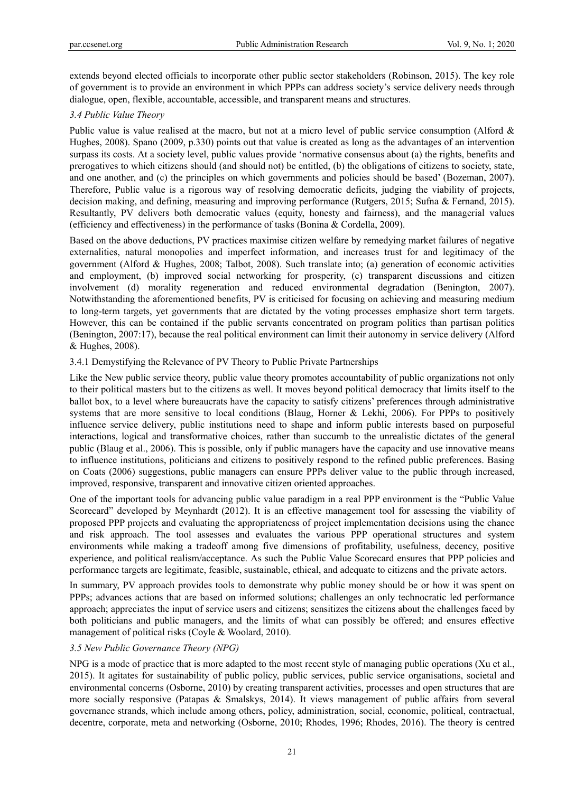extends beyond elected officials to incorporate other public sector stakeholders (Robinson, 2015). The key role of government is to provide an environment in which PPPs can address society's service delivery needs through dialogue, open, flexible, accountable, accessible, and transparent means and structures.

# *3.4 Public Value Theory*

Public value is value realised at the macro, but not at a micro level of public service consumption (Alford & Hughes, 2008). Spano (2009, p.330) points out that value is created as long as the advantages of an intervention surpass its costs. At a society level, public values provide 'normative consensus about (a) the rights, benefits and prerogatives to which citizens should (and should not) be entitled, (b) the obligations of citizens to society, state, and one another, and (c) the principles on which governments and policies should be based' (Bozeman, 2007). Therefore, Public value is a rigorous way of resolving democratic deficits, judging the viability of projects, decision making, and defining, measuring and improving performance (Rutgers, 2015; Sufna & Fernand, 2015). Resultantly, PV delivers both democratic values (equity, honesty and fairness), and the managerial values (efficiency and effectiveness) in the performance of tasks (Bonina & Cordella, 2009).

Based on the above deductions, PV practices maximise citizen welfare by remedying market failures of negative externalities, natural monopolies and imperfect information, and increases trust for and legitimacy of the government (Alford & Hughes, 2008; Talbot, 2008). Such translate into; (a) generation of economic activities and employment, (b) improved social networking for prosperity, (c) transparent discussions and citizen involvement (d) morality regeneration and reduced environmental degradation (Benington, 2007). Notwithstanding the aforementioned benefits, PV is criticised for focusing on achieving and measuring medium to long-term targets, yet governments that are dictated by the voting processes emphasize short term targets. However, this can be contained if the public servants concentrated on program politics than partisan politics (Benington, 2007:17), because the real political environment can limit their autonomy in service delivery (Alford & Hughes, 2008).

## 3.4.1 Demystifying the Relevance of PV Theory to Public Private Partnerships

Like the New public service theory, public value theory promotes accountability of public organizations not only to their political masters but to the citizens as well. It moves beyond political democracy that limits itself to the ballot box, to a level where bureaucrats have the capacity to satisfy citizens' preferences through administrative systems that are more sensitive to local conditions (Blaug, Horner & Lekhi, 2006). For PPPs to positively influence service delivery, public institutions need to shape and inform public interests based on purposeful interactions, logical and transformative choices, rather than succumb to the unrealistic dictates of the general public (Blaug et al., 2006). This is possible, only if public managers have the capacity and use innovative means to influence institutions, politicians and citizens to positively respond to the refined public preferences. Basing on Coats (2006) suggestions, public managers can ensure PPPs deliver value to the public through increased, improved, responsive, transparent and innovative citizen oriented approaches.

One of the important tools for advancing public value paradigm in a real PPP environment is the "Public Value Scorecard" developed by Meynhardt (2012). It is an effective management tool for assessing the viability of proposed PPP projects and evaluating the appropriateness of project implementation decisions using the chance and risk approach. The tool assesses and evaluates the various PPP operational structures and system environments while making a tradeoff among five dimensions of profitability, usefulness, decency, positive experience, and political realism/acceptance. As such the Public Value Scorecard ensures that PPP policies and performance targets are legitimate, feasible, sustainable, ethical, and adequate to citizens and the private actors.

In summary, PV approach provides tools to demonstrate why public money should be or how it was spent on PPPs; advances actions that are based on informed solutions; challenges an only technocratic led performance approach; appreciates the input of service users and citizens; sensitizes the citizens about the challenges faced by both politicians and public managers, and the limits of what can possibly be offered; and ensures effective management of political risks (Coyle & Woolard, 2010).

### *3.5 New Public Governance Theory (NPG)*

NPG is a mode of practice that is more adapted to the most recent style of managing public operations (Xu et al., 2015). It agitates for sustainability of public policy, public services, public service organisations, societal and environmental concerns (Osborne, 2010) by creating transparent activities, processes and open structures that are more socially responsive (Patapas & Smalskys, 2014). It views management of public affairs from several governance strands, which include among others, policy, administration, social, economic, political, contractual, decentre, corporate, meta and networking (Osborne, 2010; Rhodes, 1996; Rhodes, 2016). The theory is centred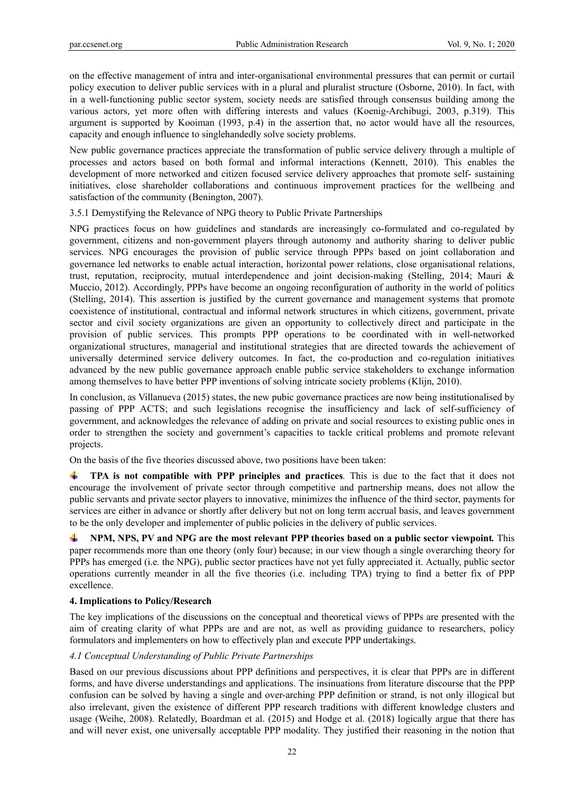on the effective management of intra and inter-organisational environmental pressures that can permit or curtail policy execution to deliver public services with in a plural and pluralist structure (Osborne, 2010). In fact, with in a well-functioning public sector system, society needs are satisfied through consensus building among the various actors, yet more often with differing interests and values (Koenig-Archibugi, 2003, p.319). This argument is supported by Kooiman (1993, p.4) in the assertion that, no actor would have all the resources, capacity and enough influence to singlehandedly solve society problems.

New public governance practices appreciate the transformation of public service delivery through a multiple of processes and actors based on both formal and informal interactions (Kennett, 2010). This enables the development of more networked and citizen focused service delivery approaches that promote self- sustaining initiatives, close shareholder collaborations and continuous improvement practices for the wellbeing and satisfaction of the community (Benington, 2007).

3.5.1 Demystifying the Relevance of NPG theory to Public Private Partnerships

NPG practices focus on how guidelines and standards are increasingly co-formulated and co-regulated by government, citizens and non-government players through autonomy and authority sharing to deliver public services. NPG encourages the provision of public service through PPPs based on joint collaboration and governance led networks to enable actual interaction, horizontal power relations, close organisational relations, trust, reputation, reciprocity, mutual interdependence and joint decision-making (Stelling, 2014; Mauri & Muccio, 2012). Accordingly, PPPs have become an ongoing reconfiguration of authority in the world of politics (Stelling, 2014). This assertion is justified by the current governance and management systems that promote coexistence of institutional, contractual and informal network structures in which citizens, government, private sector and civil society organizations are given an opportunity to collectively direct and participate in the provision of public services. This prompts PPP operations to be coordinated with in well-networked organizational structures, managerial and institutional strategies that are directed towards the achievement of universally determined service delivery outcomes. In fact, the co-production and co-regulation initiatives advanced by the new public governance approach enable public service stakeholders to exchange information among themselves to have better PPP inventions of solving intricate society problems (Klijn, 2010).

In conclusion, as Villanueva (2015) states, the new pubic governance practices are now being institutionalised by passing of PPP ACTS; and such legislations recognise the insufficiency and lack of self-sufficiency of government, and acknowledges the relevance of adding on private and social resources to existing public ones in order to strengthen the society and government's capacities to tackle critical problems and promote relevant projects.

On the basis of the five theories discussed above, two positions have been taken:

**TPA is not compatible with PPP principles and practices***.* This is due to the fact that it does not encourage the involvement of private sector through competitive and partnership means, does not allow the public servants and private sector players to innovative, minimizes the influence of the third sector, payments for services are either in advance or shortly after delivery but not on long term accrual basis, and leaves government to be the only developer and implementer of public policies in the delivery of public services.

**NPM, NPS, PV and NPG are the most relevant PPP theories based on a public sector viewpoint***.* This paper recommends more than one theory (only four) because; in our view though a single overarching theory for PPPs has emerged (i.e. the NPG), public sector practices have not yet fully appreciated it. Actually, public sector operations currently meander in all the five theories (i.e. including TPA) trying to find a better fix of PPP excellence.

### **4. Implications to Policy/Research**

The key implications of the discussions on the conceptual and theoretical views of PPPs are presented with the aim of creating clarity of what PPPs are and are not, as well as providing guidance to researchers, policy formulators and implementers on how to effectively plan and execute PPP undertakings.

### *4.1 Conceptual Understanding of Public Private Partnerships*

Based on our previous discussions about PPP definitions and perspectives, it is clear that PPPs are in different forms, and have diverse understandings and applications. The insinuations from literature discourse that the PPP confusion can be solved by having a single and over-arching PPP definition or strand, is not only illogical but also irrelevant, given the existence of different PPP research traditions with different knowledge clusters and usage (Weihe, 2008). Relatedly, Boardman et al. (2015) and Hodge et al. (2018) logically argue that there has and will never exist, one universally acceptable PPP modality. They justified their reasoning in the notion that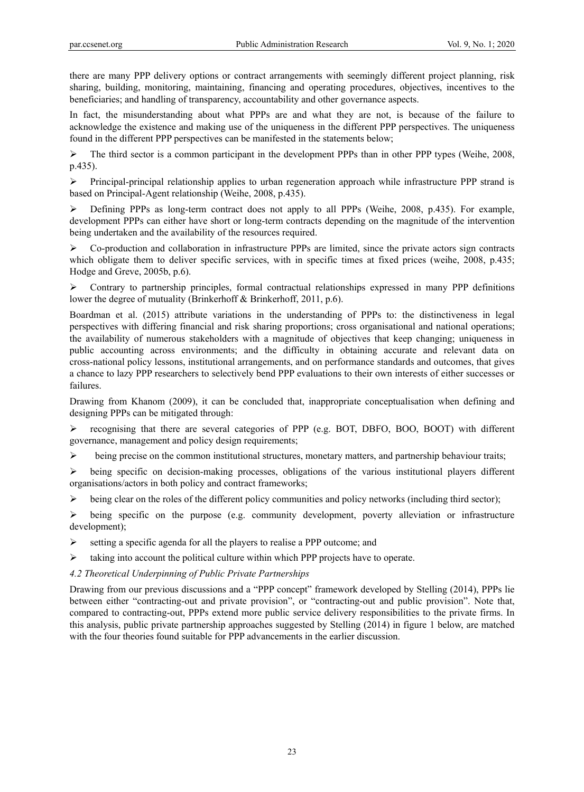there are many PPP delivery options or contract arrangements with seemingly different project planning, risk sharing, building, monitoring, maintaining, financing and operating procedures, objectives, incentives to the beneficiaries; and handling of transparency, accountability and other governance aspects.

In fact, the misunderstanding about what PPPs are and what they are not, is because of the failure to acknowledge the existence and making use of the uniqueness in the different PPP perspectives. The uniqueness found in the different PPP perspectives can be manifested in the statements below;

 $\triangleright$  The third sector is a common participant in the development PPPs than in other PPP types (Weihe, 2008, p.435).

 $\triangleright$  Principal-principal relationship applies to urban regeneration approach while infrastructure PPP strand is based on Principal-Agent relationship (Weihe, 2008, p.435).

 $\triangleright$  Defining PPPs as long-term contract does not apply to all PPPs (Weihe, 2008, p.435). For example, development PPPs can either have short or long-term contracts depending on the magnitude of the intervention being undertaken and the availability of the resources required.

 $\triangleright$  Co-production and collaboration in infrastructure PPPs are limited, since the private actors sign contracts which obligate them to deliver specific services, with in specific times at fixed prices (weihe, 2008, p.435; Hodge and Greve, 2005b, p.6).

 $\triangleright$  Contrary to partnership principles, formal contractual relationships expressed in many PPP definitions lower the degree of mutuality (Brinkerhoff & Brinkerhoff, 2011, p.6).

Boardman et al. (2015) attribute variations in the understanding of PPPs to: the distinctiveness in legal perspectives with differing financial and risk sharing proportions; cross organisational and national operations; the availability of numerous stakeholders with a magnitude of objectives that keep changing; uniqueness in public accounting across environments; and the difficulty in obtaining accurate and relevant data on cross-national policy lessons, institutional arrangements, and on performance standards and outcomes, that gives a chance to lazy PPP researchers to selectively bend PPP evaluations to their own interests of either successes or failures.

Drawing from Khanom (2009), it can be concluded that, inappropriate conceptualisation when defining and designing PPPs can be mitigated through:

 $\triangleright$  recognising that there are several categories of PPP (e.g. BOT, DBFO, BOO, BOOT) with different governance, management and policy design requirements;

 $\triangleright$  being precise on the common institutional structures, monetary matters, and partnership behaviour traits;

 $\triangleright$  being specific on decision-making processes, obligations of the various institutional players different organisations/actors in both policy and contract frameworks;

 $\triangleright$  being clear on the roles of the different policy communities and policy networks (including third sector);

 $\triangleright$  being specific on the purpose (e.g. community development, poverty alleviation or infrastructure development);

 $\triangleright$  setting a specific agenda for all the players to realise a PPP outcome; and

taking into account the political culture within which PPP projects have to operate.

## *4.2 Theoretical Underpinning of Public Private Partnerships*

Drawing from our previous discussions and a "PPP concept" framework developed by Stelling (2014), PPPs lie between either "contracting-out and private provision", or "contracting-out and public provision". Note that, compared to contracting-out, PPPs extend more public service delivery responsibilities to the private firms. In this analysis, public private partnership approaches suggested by Stelling (2014) in figure 1 below, are matched with the four theories found suitable for PPP advancements in the earlier discussion.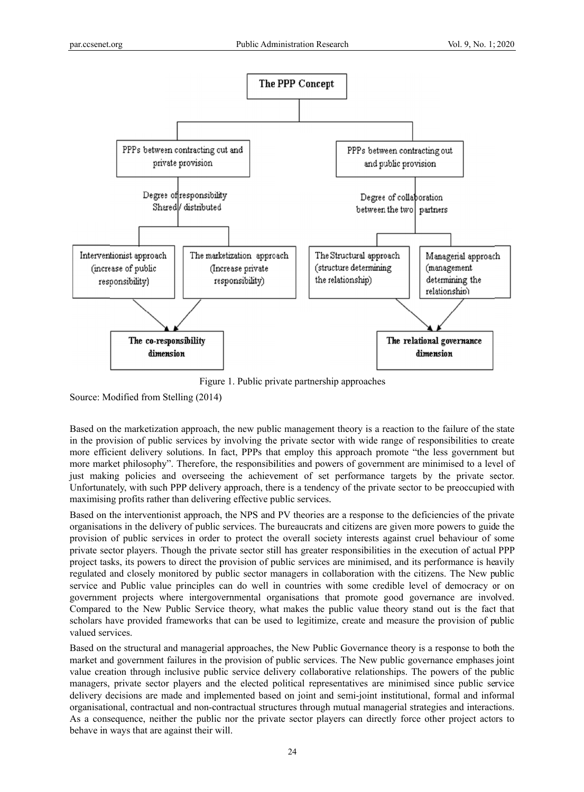

Figure 1. Public private partnership approaches

Source: Modified from Stelling (2014)

Figure 1. Public private partnership approaches<br>
Source: Modified from Stelling (2014)<br>
Based on the marketization approach, the new public management theory is a reaction to the failure of the state in the provision of public services by involving the private sector with wide range of responsibilities to create more efficient delivery solutions. In fact, PPPs that employ this approach promote "the less government but more market philosophy". Therefore, the responsibilities and powers of government are minimised to a level of just making policies and overseeing the achievement of set performance targets by the private sector. Unfortunately, with such PPP delivery approach, there is a tendency of the private sector to be preoccupied with maximising profits rather than delivering effective public services.

maximising profits rather than delivering effective public services.<br>Based on the interventionist approach, the NPS and PV theories are a response to the deficiencies of the private organisations in the delivery of public services. The bureaucrats and citizens are given more powers to guide the provision of public services in order to protect the overall society interests against cruel behaviour of some private sector players. Though the private sector still has greater responsibilities in the execution of actual PPP project tasks, its powers to direct the provision of public services are minimised, and its performance is heavily regulated and closely monitored by public sector managers in collaboration with the citizens. The New public service and Public value principles can do well in countries with some credible level of democracy or on government projects where intergovernmental organisations that promote good governance are involved. Compared to the New Public Service theory, what makes the public value theory stand out is the fact that scholars have provided frameworks that can be used to legitimize, create and measure the provision of public valued services.

Based on the structural and managerial approaches, the New Public Governance theory is a response to both the market and government failures in the provision of public services. The New public governance emphases joint value creation through inclusive public service delivery collaborative relationships. The powers of the public managers, private sector players and the elected political representatives are minimised since public service delivery decisions are made and implemented based on joint and semi-joint institutional, formal and informal organisational, contractual and non-contractual structures through mutual managerial strategies and interactions. As a consequence, neither the public nor the private sector players can directly force other project actors to behave in ways that are against their will.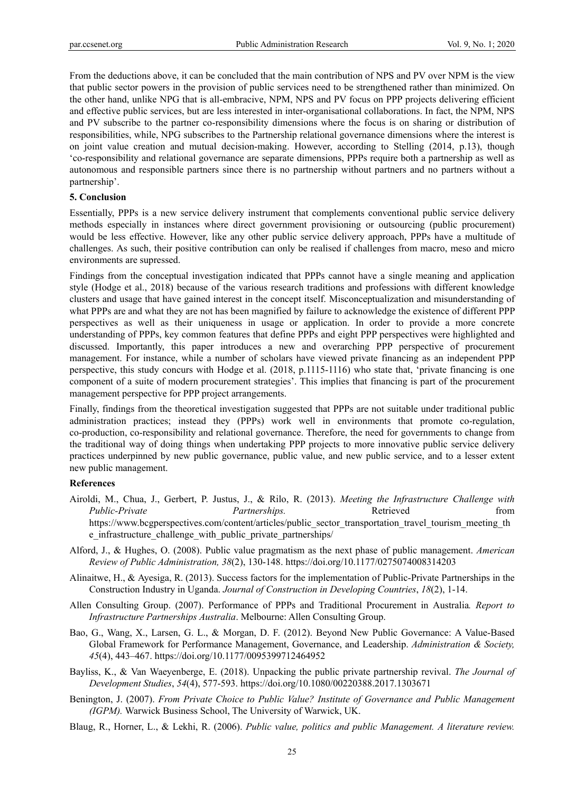From the deductions above, it can be concluded that the main contribution of NPS and PV over NPM is the view that public sector powers in the provision of public services need to be strengthened rather than minimized. On the other hand, unlike NPG that is all-embracive, NPM, NPS and PV focus on PPP projects delivering efficient and effective public services, but are less interested in inter-organisational collaborations. In fact, the NPM, NPS and PV subscribe to the partner co-responsibility dimensions where the focus is on sharing or distribution of responsibilities, while, NPG subscribes to the Partnership relational governance dimensions where the interest is on joint value creation and mutual decision-making. However, according to Stelling (2014, p.13), though 'co-responsibility and relational governance are separate dimensions, PPPs require both a partnership as well as autonomous and responsible partners since there is no partnership without partners and no partners without a partnership'.

### **5. Conclusion**

Essentially, PPPs is a new service delivery instrument that complements conventional public service delivery methods especially in instances where direct government provisioning or outsourcing (public procurement) would be less effective. However, like any other public service delivery approach, PPPs have a multitude of challenges. As such, their positive contribution can only be realised if challenges from macro, meso and micro environments are supressed.

Findings from the conceptual investigation indicated that PPPs cannot have a single meaning and application style (Hodge et al., 2018) because of the various research traditions and professions with different knowledge clusters and usage that have gained interest in the concept itself. Misconceptualization and misunderstanding of what PPPs are and what they are not has been magnified by failure to acknowledge the existence of different PPP perspectives as well as their uniqueness in usage or application. In order to provide a more concrete understanding of PPPs, key common features that define PPPs and eight PPP perspectives were highlighted and discussed. Importantly, this paper introduces a new and overarching PPP perspective of procurement management. For instance, while a number of scholars have viewed private financing as an independent PPP perspective, this study concurs with Hodge et al. (2018, p.1115-1116) who state that, 'private financing is one component of a suite of modern procurement strategies'. This implies that financing is part of the procurement management perspective for PPP project arrangements.

Finally, findings from the theoretical investigation suggested that PPPs are not suitable under traditional public administration practices; instead they (PPPs) work well in environments that promote co-regulation, co-production, co-responsibility and relational governance. Therefore, the need for governments to change from the traditional way of doing things when undertaking PPP projects to more innovative public service delivery practices underpinned by new public governance, public value, and new public service, and to a lesser extent new public management.

#### **References**

- Airoldi, M., Chua, J., Gerbert, P. Justus, J., & Rilo, R. (2013). *Meeting the Infrastructure Challenge with Public-Private Partnerships.* Retrieved *Retrieved Retrieved Retrieved* https://www.bcgperspectives.com/content/articles/public\_sector\_transportation\_travel\_tourism\_meeting\_th e\_infrastructure\_challenge\_with\_public\_private\_partnerships/
- Alford, J., & Hughes, O. (2008). Public value pragmatism as the next phase of public management. *American Review of Public Administration, 38*(2), 130-148. https://doi.org/10.1177/0275074008314203
- Alinaitwe, H., & Ayesiga, R. (2013). Success factors for the implementation of Public-Private Partnerships in the Construction Industry in Uganda. *Journal of Construction in Developing Countries*, *18*(2), 1-14.
- Allen Consulting Group. (2007). Performance of PPPs and Traditional Procurement in Australia*. Report to Infrastructure Partnerships Australia*. Melbourne: Allen Consulting Group.
- Bao, G., Wang, X., Larsen, G. L., & Morgan, D. F. (2012). Beyond New Public Governance: A Value-Based Global Framework for Performance Management, Governance, and Leadership. *Administration & Society, 45*(4), 443–467. https://doi.org/10.1177/0095399712464952
- Bayliss, K., & Van Waeyenberge, E. (2018). Unpacking the public private partnership revival. *The Journal of Development Studies*, *54*(4), 577-593. https://doi.org/10.1080/00220388.2017.1303671
- Benington, J. (2007). *From Private Choice to Public Value? Institute of Governance and Public Management (IGPM).* Warwick Business School, The University of Warwick, UK.
- Blaug, R., Horner, L., & Lekhi, R. (2006). *Public value, politics and public Management. A literature review.*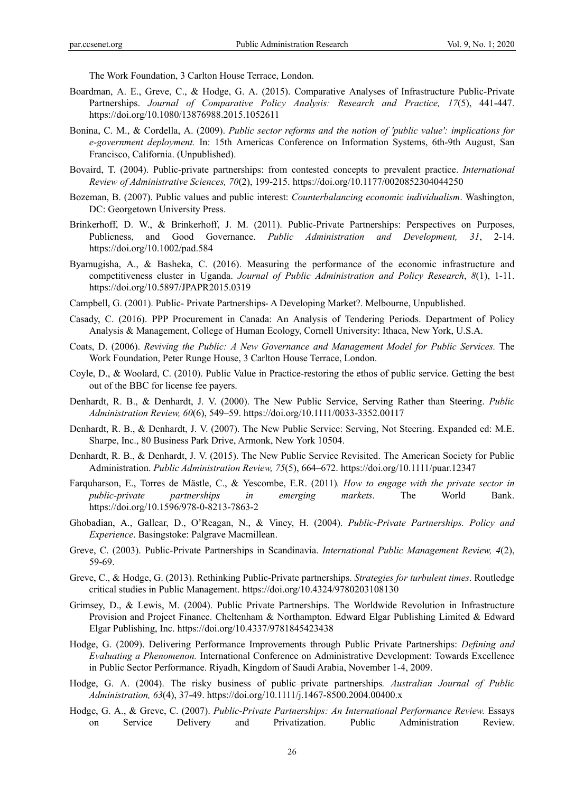The Work Foundation, 3 Carlton House Terrace, London.

- Boardman, A. E., Greve, C., & Hodge, G. A. (2015). Comparative Analyses of Infrastructure Public-Private Partnerships. *Journal of Comparative Policy Analysis: Research and Practice, 17*(5), 441-447. https://doi.org/10.1080/13876988.2015.1052611
- Bonina, C. M., & Cordella, A. (2009). *Public sector reforms and the notion of 'public value': implications for e-government deployment.* In: 15th Americas Conference on Information Systems, 6th-9th August, San Francisco, California. (Unpublished).
- Bovaird, T. (2004). Public-private partnerships: from contested concepts to prevalent practice. *International Review of Administrative Sciences, 70*(2), 199-215. https://doi.org/10.1177/0020852304044250
- Bozeman, B. (2007). Public values and public interest: *Counterbalancing economic individualism*. Washington, DC: Georgetown University Press.
- Brinkerhoff, D. W., & Brinkerhoff, J. M. (2011). Public-Private Partnerships: Perspectives on Purposes, Publicness, and Good Governance. *Public Administration and Development, 31*, 2-14. https://doi.org/10.1002/pad.584
- Byamugisha, A., & Basheka, C. (2016). Measuring the performance of the economic infrastructure and competitiveness cluster in Uganda. *Journal of Public Administration and Policy Research*, *8*(1), 1-11. https://doi.org/10.5897/JPAPR2015.0319
- Campbell, G. (2001). Public- Private Partnerships- A Developing Market?. Melbourne, Unpublished.
- Casady, C. (2016). PPP Procurement in Canada: An Analysis of Tendering Periods. Department of Policy Analysis & Management, College of Human Ecology, Cornell University: Ithaca, New York, U.S.A.
- Coats, D. (2006). *Reviving the Public: A New Governance and Management Model for Public Services.* The Work Foundation, Peter Runge House, 3 Carlton House Terrace, London.
- Coyle, D., & Woolard, C. (2010). Public Value in Practice-restoring the ethos of public service. Getting the best out of the BBC for license fee payers.
- Denhardt, R. B., & Denhardt, J. V. (2000). The New Public Service, Serving Rather than Steering. *Public Administration Review, 60*(6), 549–59. https://doi.org/10.1111/0033-3352.00117
- Denhardt, R. B., & Denhardt, J. V. (2007). The New Public Service: Serving, Not Steering. Expanded ed: M.E. Sharpe, Inc., 80 Business Park Drive, Armonk, New York 10504.
- Denhardt, R. B., & Denhardt, J. V. (2015). The New Public Service Revisited. The American Society for Public Administration. *Public Administration Review, 75*(5), 664–672. https://doi.org/10.1111/puar.12347
- Farquharson, E., Torres de Mästle, C., & Yescombe, E.R. (2011)*. How to engage with the private sector in public-private partnerships in emerging markets*. The World Bank. https://doi.org/10.1596/978-0-8213-7863-2
- Ghobadian, A., Gallear, D., O'Reagan, N., & Viney, H. (2004). *Public-Private Partnerships. Policy and Experience*. Basingstoke: Palgrave Macmillean.
- Greve, C. (2003). Public-Private Partnerships in Scandinavia. *International Public Management Review, 4*(2), 59-69.
- Greve, C., & Hodge, G. (2013). Rethinking Public-Private partnerships. *Strategies for turbulent times*. Routledge critical studies in Public Management. https://doi.org/10.4324/9780203108130
- Grimsey, D., & Lewis, M. (2004). Public Private Partnerships. The Worldwide Revolution in Infrastructure Provision and Project Finance. Cheltenham & Northampton. Edward Elgar Publishing Limited & Edward Elgar Publishing, Inc. https://doi.org/10.4337/9781845423438
- Hodge, G. (2009). Delivering Performance Improvements through Public Private Partnerships: *Defining and Evaluating a Phenomenon.* International Conference on Administrative Development: Towards Excellence in Public Sector Performance. Riyadh, Kingdom of Saudi Arabia, November 1-4, 2009.
- Hodge, G. A. (2004). The risky business of public–private partnerships*. Australian Journal of Public Administration, 63*(4), 37-49. https://doi.org/10.1111/j.1467-8500.2004.00400.x
- Hodge, G. A., & Greve, C. (2007). *Public-Private Partnerships: An International Performance Review.* Essays on Service Delivery and Privatization. Public Administration Review.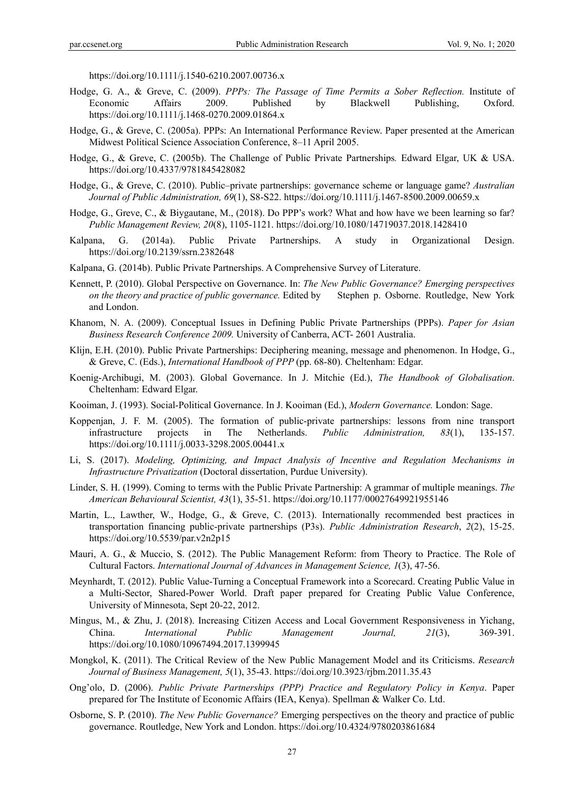https://doi.org/10.1111/j.1540-6210.2007.00736.x

- Hodge, G. A., & Greve, C. (2009). *PPPs: The Passage of Time Permits a Sober Reflection.* Institute of Economic Affairs 2009. Published by Blackwell Publishing, Oxford. https://doi.org/10.1111/j.1468-0270.2009.01864.x
- Hodge, G., & Greve, C. (2005a). PPPs: An International Performance Review. Paper presented at the American Midwest Political Science Association Conference, 8–11 April 2005.
- Hodge, G., & Greve, C. (2005b). The Challenge of Public Private Partnerships*.* Edward Elgar, UK & USA. https://doi.org/10.4337/9781845428082
- Hodge, G., & Greve, C. (2010). Public–private partnerships: governance scheme or language game? *Australian Journal of Public Administration, 69*(1), S8-S22. https://doi.org/10.1111/j.1467-8500.2009.00659.x
- Hodge, G., Greve, C., & Biygautane, M., (2018). Do PPP's work? What and how have we been learning so far? *Public Management Review, 20*(8), 1105-1121. https://doi.org/10.1080/14719037.2018.1428410
- Kalpana, G. (2014a). Public Private Partnerships. A study in Organizational Design. https://doi.org/10.2139/ssrn.2382648
- Kalpana, G. (2014b). Public Private Partnerships. A Comprehensive Survey of Literature.
- Kennett, P. (2010). Global Perspective on Governance. In: *The New Public Governance? Emerging perspectives on the theory and practice of public governance.* Edited by Stephen p. Osborne. Routledge, New York and London.
- Khanom, N. A. (2009). Conceptual Issues in Defining Public Private Partnerships (PPPs). *Paper for Asian Business Research Conference 2009.* University of Canberra, ACT- 2601 Australia.
- Klijn, E.H. (2010). Public Private Partnerships: Deciphering meaning, message and phenomenon. In Hodge, G., & Greve, C. (Eds.), *International Handbook of PPP* (pp. 68-80). Cheltenham: Edgar.
- Koenig-Archibugi, M. (2003). Global Governance. In J. Mitchie (Ed.), *The Handbook of Globalisation*. Cheltenham: Edward Elgar.
- Kooiman, J. (1993). Social-Political Governance. In J. Kooiman (Ed.), *Modern Governance.* London: Sage.
- Koppenjan, J. F. M. (2005). The formation of public-private partnerships: lessons from nine transport infrastructure projects in The Netherlands. *Public Administration, 83*(1), 135-157. https://doi.org/10.1111/j.0033-3298.2005.00441.x
- Li, S. (2017). *Modeling, Optimizing, and Impact Analysis of Incentive and Regulation Mechanisms in Infrastructure Privatization* (Doctoral dissertation, Purdue University).
- Linder, S. H. (1999). Coming to terms with the Public Private Partnership: A grammar of multiple meanings. *The American Behavioural Scientist, 43*(1), 35-51. https://doi.org/10.1177/00027649921955146
- Martin, L., Lawther, W., Hodge, G., & Greve, C. (2013). Internationally recommended best practices in transportation financing public-private partnerships (P3s). *Public Administration Research*, *2*(2), 15-25. https://doi.org/10.5539/par.v2n2p15
- Mauri, A. G., & Muccio, S. (2012). The Public Management Reform: from Theory to Practice. The Role of Cultural Factors. *International Journal of Advances in Management Science, 1*(3), 47-56.
- Meynhardt, T. (2012). Public Value-Turning a Conceptual Framework into a Scorecard. Creating Public Value in a Multi-Sector, Shared-Power World. Draft paper prepared for Creating Public Value Conference, University of Minnesota, Sept 20-22, 2012.
- Mingus, M., & Zhu, J. (2018). Increasing Citizen Access and Local Government Responsiveness in Yichang, China. *International Public Management Journal, 21*(3), 369-391. https://doi.org/10.1080/10967494.2017.1399945
- Mongkol, K. (2011). The Critical Review of the New Public Management Model and its Criticisms. *Research Journal of Business Management, 5*(1), 35-43. https://doi.org/10.3923/rjbm.2011.35.43
- Ong'olo, D. (2006). *Public Private Partnerships (PPP) Practice and Regulatory Policy in Kenya*. Paper prepared for The Institute of Economic Affairs (IEA, Kenya). Spellman & Walker Co. Ltd.
- Osborne, S. P. (2010). *The New Public Governance?* Emerging perspectives on the theory and practice of public governance. Routledge, New York and London. https://doi.org/10.4324/9780203861684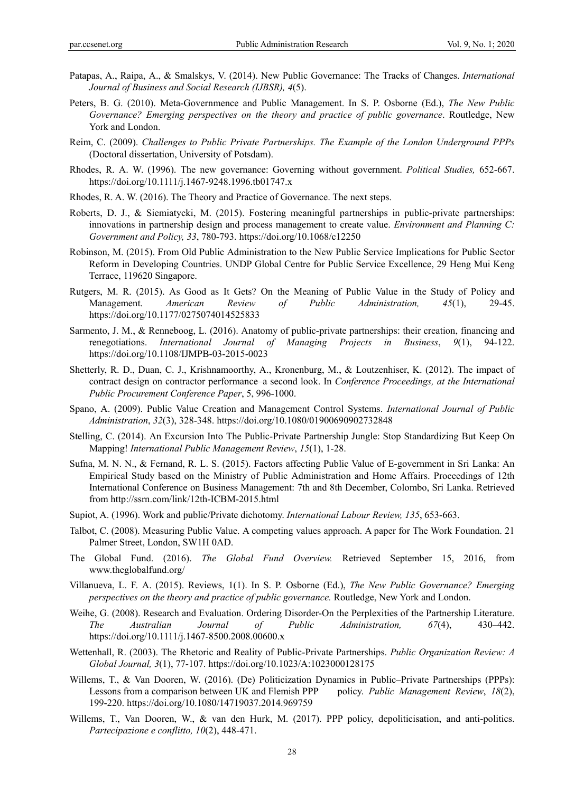- Patapas, A., Raipa, A., & Smalskys, V. (2014). New Public Governance: The Tracks of Changes. *International Journal of Business and Social Research (IJBSR), 4*(5).
- Peters, B. G. (2010). Meta-Governmence and Public Management. In S. P. Osborne (Ed.), *The New Public Governance? Emerging perspectives on the theory and practice of public governance*. Routledge, New York and London.
- Reim, C. (2009). *Challenges to Public Private Partnerships. The Example of the London Underground PPPs* (Doctoral dissertation, University of Potsdam).
- Rhodes, R. A. W. (1996). The new governance: Governing without government. *Political Studies,* 652-667. https://doi.org/10.1111/j.1467-9248.1996.tb01747.x
- Rhodes, R. A. W. (2016). The Theory and Practice of Governance. The next steps.
- Roberts, D. J., & Siemiatycki, M. (2015). Fostering meaningful partnerships in public-private partnerships: innovations in partnership design and process management to create value. *Environment and Planning C: Government and Policy, 33*, 780-793. https://doi.org/10.1068/c12250
- Robinson, M. (2015). From Old Public Administration to the New Public Service Implications for Public Sector Reform in Developing Countries. UNDP Global Centre for Public Service Excellence, 29 Heng Mui Keng Terrace, 119620 Singapore.
- Rutgers, M. R. (2015). As Good as It Gets? On the Meaning of Public Value in the Study of Policy and Management. *American Review of Public Administration, 45*(1), 29-45. https://doi.org/10.1177/0275074014525833
- Sarmento, J. M., & Renneboog, L. (2016). Anatomy of public-private partnerships: their creation, financing and renegotiations. *International Journal of Managing Projects in Business*, *9*(1), 94-122. https://doi.org/10.1108/IJMPB-03-2015-0023
- Shetterly, R. D., Duan, C. J., Krishnamoorthy, A., Kronenburg, M., & Loutzenhiser, K. (2012). The impact of contract design on contractor performance–a second look. In *Conference Proceedings, at the International Public Procurement Conference Paper*, 5, 996-1000.
- Spano, A. (2009). Public Value Creation and Management Control Systems. *International Journal of Public Administration*, *32*(3), 328-348. https://doi.org/10.1080/01900690902732848
- Stelling, C. (2014). An Excursion Into The Public-Private Partnership Jungle: Stop Standardizing But Keep On Mapping! *International Public Management Review*, *15*(1), 1-28.
- Sufna, M. N. N., & Fernand, R. L. S. (2015). Factors affecting Public Value of E-government in Sri Lanka: An Empirical Study based on the Ministry of Public Administration and Home Affairs. Proceedings of 12th International Conference on Business Management: 7th and 8th December, Colombo, Sri Lanka. Retrieved from http://ssrn.com/link/12th-ICBM-2015.html
- Supiot, A. (1996). Work and public/Private dichotomy. *International Labour Review, 135*, 653-663.
- Talbot, C. (2008). Measuring Public Value. A competing values approach. A paper for The Work Foundation. 21 Palmer Street, London, SW1H 0AD.
- The Global Fund. (2016). *The Global Fund Overview.* Retrieved September 15, 2016, from www.theglobalfund.org/
- Villanueva, L. F. A. (2015). Reviews, 1(1). In S. P. Osborne (Ed.), *The New Public Governance? Emerging perspectives on the theory and practice of public governance.* Routledge, New York and London.
- Weihe, G. (2008). Research and Evaluation. Ordering Disorder-On the Perplexities of the Partnership Literature. *The Australian Journal of Public Administration, 67*(4), 430–442. https://doi.org/10.1111/j.1467-8500.2008.00600.x
- Wettenhall, R. (2003). The Rhetoric and Reality of Public-Private Partnerships. *Public Organization Review: A Global Journal, 3*(1), 77-107. https://doi.org/10.1023/A:1023000128175
- Willems, T., & Van Dooren, W. (2016). (De) Politicization Dynamics in Public–Private Partnerships (PPPs): Lessons from a comparison between UK and Flemish PPP policy. *Public Management Review*, *18*(2), 199-220. https://doi.org/10.1080/14719037.2014.969759
- Willems, T., Van Dooren, W., & van den Hurk, M. (2017). PPP policy, depoliticisation, and anti-politics. *Partecipazione e conflitto, 10*(2), 448-471.